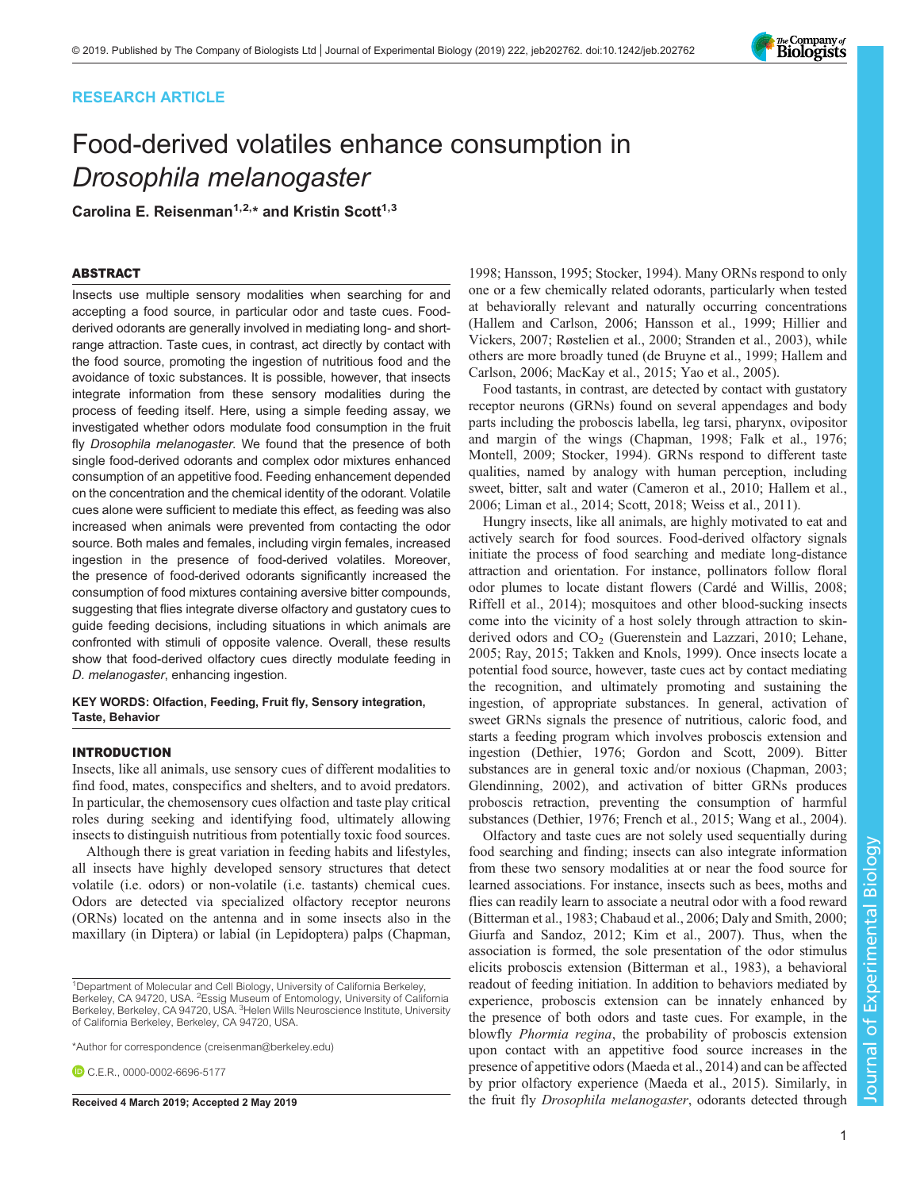# RESEARCH ARTICLE

# Food-derived volatiles enhance consumption in Drosophila melanogaster

Carolina E. Reisenman<sup>1,2,\*</sup> and Kristin Scott<sup>1,3</sup>

## ABSTRACT

Insects use multiple sensory modalities when searching for and accepting a food source, in particular odor and taste cues. Foodderived odorants are generally involved in mediating long- and shortrange attraction. Taste cues, in contrast, act directly by contact with the food source, promoting the ingestion of nutritious food and the avoidance of toxic substances. It is possible, however, that insects integrate information from these sensory modalities during the process of feeding itself. Here, using a simple feeding assay, we investigated whether odors modulate food consumption in the fruit fly Drosophila melanogaster. We found that the presence of both single food-derived odorants and complex odor mixtures enhanced consumption of an appetitive food. Feeding enhancement depended on the concentration and the chemical identity of the odorant. Volatile cues alone were sufficient to mediate this effect, as feeding was also increased when animals were prevented from contacting the odor source. Both males and females, including virgin females, increased ingestion in the presence of food-derived volatiles. Moreover, the presence of food-derived odorants significantly increased the consumption of food mixtures containing aversive bitter compounds, suggesting that flies integrate diverse olfactory and gustatory cues to guide feeding decisions, including situations in which animals are confronted with stimuli of opposite valence. Overall, these results show that food-derived olfactory cues directly modulate feeding in D. melanogaster, enhancing ingestion.

## KEY WORDS: Olfaction, Feeding, Fruit fly, Sensory integration, Taste, Behavior

## INTRODUCTION

Insects, like all animals, use sensory cues of different modalities to find food, mates, conspecifics and shelters, and to avoid predators. In particular, the chemosensory cues olfaction and taste play critical roles during seeking and identifying food, ultimately allowing insects to distinguish nutritious from potentially toxic food sources.

Although there is great variation in feeding habits and lifestyles, all insects have highly developed sensory structures that detect volatile (i.e. odors) or non-volatile (i.e. tastants) chemical cues. Odors are detected via specialized olfactory receptor neurons (ORNs) located on the antenna and in some insects also in the maxillary (in Diptera) or labial (in Lepidoptera) palps [\(Chapman,](#page-7-0)

\*Author for correspondence [\(creisenman@berkeley.edu](mailto:creisenman@berkeley.edu))

C.E.R., [0000-0002-6696-5177](http://orcid.org/0000-0002-6696-5177)

[1998;](#page-7-0) [Hansson, 1995; Stocker, 1994](#page-8-0)). Many ORNs respond to only one or a few chemically related odorants, particularly when tested at behaviorally relevant and naturally occurring concentrations [\(Hallem and Carlson, 2006; Hansson et al., 1999; Hillier and](#page-8-0) [Vickers, 2007](#page-8-0); [Røstelien et al., 2000](#page-8-0); [Stranden et al., 2003\)](#page-8-0), while others are more broadly tuned ([de Bruyne et al., 1999;](#page-7-0) [Hallem and](#page-8-0) [Carlson, 2006](#page-8-0); [MacKay et al., 2015;](#page-8-0) [Yao et al., 2005\)](#page-9-0).

Food tastants, in contrast, are detected by contact with gustatory receptor neurons (GRNs) found on several appendages and body parts including the proboscis labella, leg tarsi, pharynx, ovipositor and margin of the wings [\(Chapman, 1998](#page-7-0); [Falk et al., 1976](#page-7-0); [Montell, 2009](#page-8-0); [Stocker, 1994](#page-8-0)). GRNs respond to different taste qualities, named by analogy with human perception, including sweet, bitter, salt and water [\(Cameron et al., 2010;](#page-7-0) [Hallem et al.,](#page-8-0) [2006; Liman et al., 2014](#page-8-0); [Scott, 2018;](#page-8-0) [Weiss et al., 2011\)](#page-9-0).

Hungry insects, like all animals, are highly motivated to eat and actively search for food sources. Food-derived olfactory signals initiate the process of food searching and mediate long-distance attraction and orientation. For instance, pollinators follow floral odor plumes to locate distant flowers ([Cardé and Willis, 2008](#page-7-0); [Riffell et al., 2014\)](#page-8-0); mosquitoes and other blood-sucking insects come into the vicinity of a host solely through attraction to skinderived odors and  $CO<sub>2</sub>$  ([Guerenstein and Lazzari, 2010; Lehane,](#page-8-0) [2005; Ray, 2015; Takken and Knols, 1999](#page-8-0)). Once insects locate a potential food source, however, taste cues act by contact mediating the recognition, and ultimately promoting and sustaining the ingestion, of appropriate substances. In general, activation of sweet GRNs signals the presence of nutritious, caloric food, and starts a feeding program which involves proboscis extension and ingestion ([Dethier, 1976;](#page-7-0) [Gordon and Scott, 2009\)](#page-8-0). Bitter substances are in general toxic and/or noxious [\(Chapman, 2003](#page-7-0); [Glendinning, 2002\)](#page-8-0), and activation of bitter GRNs produces proboscis retraction, preventing the consumption of harmful substances ([Dethier, 1976; French et al., 2015](#page-7-0); [Wang et al., 2004\)](#page-9-0).

Olfactory and taste cues are not solely used sequentially during food searching and finding; insects can also integrate information from these two sensory modalities at or near the food source for learned associations. For instance, insects such as bees, moths and flies can readily learn to associate a neutral odor with a food reward [\(Bitterman et al., 1983](#page-7-0); [Chabaud et al., 2006; Daly and Smith, 2000](#page-7-0); [Giurfa and Sandoz, 2012](#page-8-0); [Kim et al., 2007](#page-8-0)). Thus, when the association is formed, the sole presentation of the odor stimulus elicits proboscis extension ([Bitterman et al., 1983](#page-7-0)), a behavioral readout of feeding initiation. In addition to behaviors mediated by experience, proboscis extension can be innately enhanced by the presence of both odors and taste cues. For example, in the blowfly *Phormia regina*, the probability of proboscis extension upon contact with an appetitive food source increases in the presence of appetitive odors [\(Maeda et al., 2014](#page-8-0)) and can be affected by prior olfactory experience [\(Maeda et al., 2015](#page-8-0)). Similarly, in Received 4 March 2019; Accepted 2 May 2019 the fruit fly *Drosophila melanogaster*, odorants detected through

Journal of Experimental Biology

 $\overline{\circ}$ 

Journal

**Experimental** 

Biology



<sup>&</sup>lt;sup>1</sup>Department of Molecular and Cell Biology, University of California Berkeley, Berkeley, CA 94720, USA. <sup>2</sup>Essig Museum of Entomology, University of California Berkeley, Berkeley, CA 94720, USA. <sup>3</sup>Helen Wills Neuroscience Institute, University of California Berkeley, Berkeley, CA 94720, USA.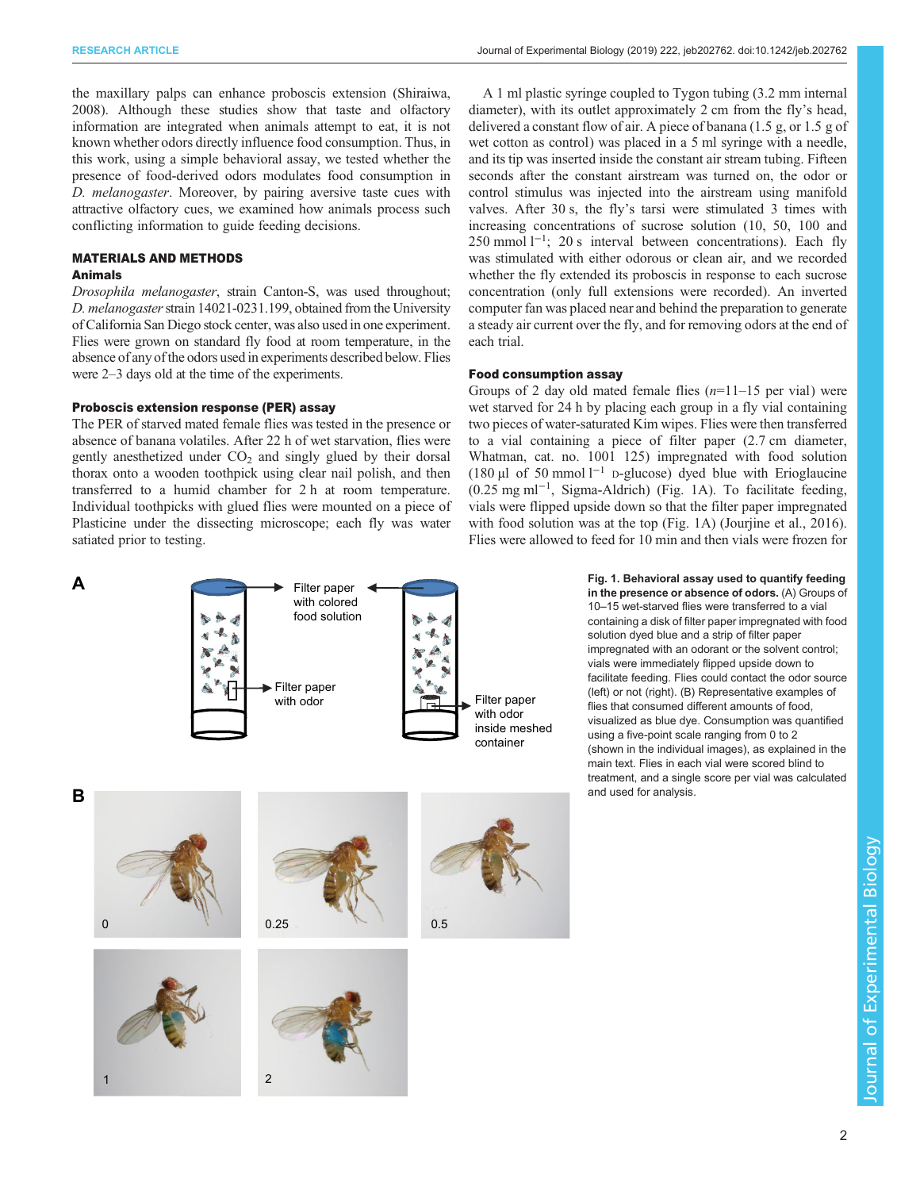<span id="page-1-0"></span>the maxillary palps can enhance proboscis extension ([Shiraiwa,](#page-8-0) [2008](#page-8-0)). Although these studies show that taste and olfactory information are integrated when animals attempt to eat, it is not known whether odors directly influence food consumption. Thus, in this work, using a simple behavioral assay, we tested whether the presence of food-derived odors modulates food consumption in D. melanogaster. Moreover, by pairing aversive taste cues with attractive olfactory cues, we examined how animals process such conflicting information to guide feeding decisions.

# MATERIALS AND METHODS

# Animals

Drosophila melanogaster, strain Canton-S, was used throughout; D. melanogaster strain 14021-0231.199, obtained from the University of California San Diego stock center, was also used in one experiment. Flies were grown on standard fly food at room temperature, in the absence of any of the odors used in experiments described below. Flies were 2–3 days old at the time of the experiments.

## Proboscis extension response (PER) assay

The PER of starved mated female flies was tested in the presence or absence of banana volatiles. After 22 h of wet starvation, flies were gently anesthetized under  $CO<sub>2</sub>$  and singly glued by their dorsal thorax onto a wooden toothpick using clear nail polish, and then transferred to a humid chamber for 2 h at room temperature. Individual toothpicks with glued flies were mounted on a piece of Plasticine under the dissecting microscope; each fly was water satiated prior to testing.

A 1 ml plastic syringe coupled to Tygon tubing (3.2 mm internal diameter), with its outlet approximately 2 cm from the fly's head, delivered a constant flow of air. A piece of banana (1.5 g, or 1.5 g of wet cotton as control) was placed in a 5 ml syringe with a needle, and its tip was inserted inside the constant air stream tubing. Fifteen seconds after the constant airstream was turned on, the odor or control stimulus was injected into the airstream using manifold valves. After 30 s, the fly's tarsi were stimulated 3 times with increasing concentrations of sucrose solution (10, 50, 100 and 250 mmol l<sup>-1</sup>; 20 s interval between concentrations). Each fly was stimulated with either odorous or clean air, and we recorded whether the fly extended its proboscis in response to each sucrose concentration (only full extensions were recorded). An inverted computer fan was placed near and behind the preparation to generate a steady air current over the fly, and for removing odors at the end of each trial.

## Food consumption assay

Groups of 2 day old mated female flies  $(n=11-15$  per vial) were wet starved for 24 h by placing each group in a fly vial containing two pieces of water-saturated Kim wipes. Flies were then transferred to a vial containing a piece of filter paper (2.7 cm diameter, Whatman, cat. no. 1001 125) impregnated with food solution (180 µl of 50 mmol  $l^{-1}$  D-glucose) dyed blue with Erioglaucine (0.25 mg ml−<sup>1</sup> , Sigma-Aldrich) (Fig. 1A). To facilitate feeding, vials were flipped upside down so that the filter paper impregnated with food solution was at the top (Fig. 1A) [\(Jourjine et al., 2016\)](#page-8-0). Flies were allowed to feed for 10 min and then vials were frozen for



Fig. 1. Behavioral assay used to quantify feeding in the presence or absence of odors. (A) Groups of 10–15 wet-starved flies were transferred to a vial containing a disk of filter paper impregnated with food solution dyed blue and a strip of filter paper impregnated with an odorant or the solvent control; vials were immediately flipped upside down to facilitate feeding. Flies could contact the odor source (left) or not (right). (B) Representative examples of flies that consumed different amounts of food, visualized as blue dye. Consumption was quantified using a five-point scale ranging from 0 to 2 (shown in the individual images), as explained in the main text. Flies in each vial were scored blind to treatment, and a single score per vial was calculated and used for analysis.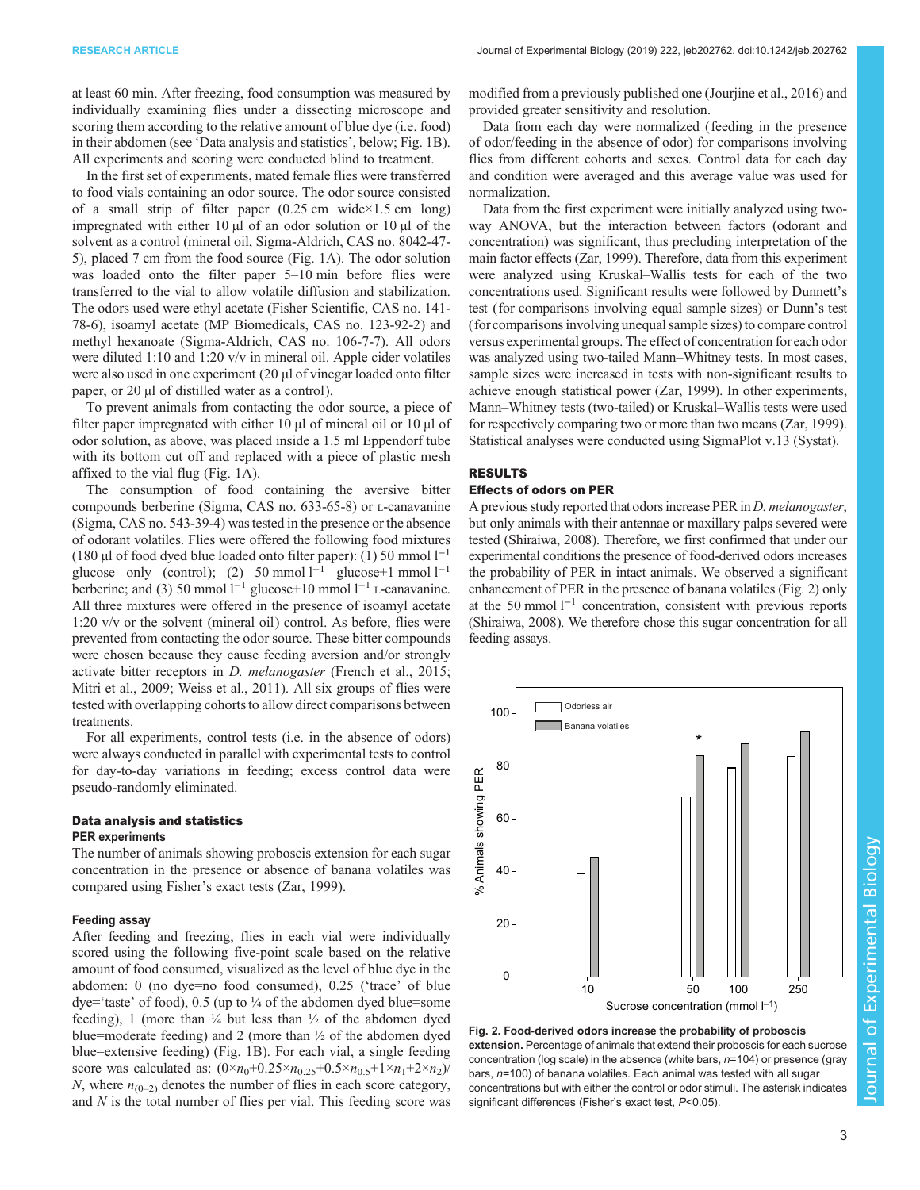<span id="page-2-0"></span>at least 60 min. After freezing, food consumption was measured by individually examining flies under a dissecting microscope and scoring them according to the relative amount of blue dye (i.e. food) in their abdomen (see 'Data analysis and statistics', below; [Fig. 1](#page-1-0)B). All experiments and scoring were conducted blind to treatment.

In the first set of experiments, mated female flies were transferred to food vials containing an odor source. The odor source consisted of a small strip of filter paper  $(0.25 \text{ cm} \text{ wide} \times 1.5 \text{ cm} \text{ long})$ impregnated with either 10 µl of an odor solution or 10 µl of the solvent as a control (mineral oil, Sigma-Aldrich, CAS no. 8042-47- 5), placed 7 cm from the food source ([Fig. 1](#page-1-0)A). The odor solution was loaded onto the filter paper 5–10 min before flies were transferred to the vial to allow volatile diffusion and stabilization. The odors used were ethyl acetate (Fisher Scientific, CAS no. 141- 78-6), isoamyl acetate (MP Biomedicals, CAS no. 123-92-2) and methyl hexanoate (Sigma-Aldrich, CAS no. 106-7-7). All odors were diluted 1:10 and 1:20 v/v in mineral oil. Apple cider volatiles were also used in one experiment (20  $\mu$ l of vinegar loaded onto filter paper, or 20 µl of distilled water as a control).

To prevent animals from contacting the odor source, a piece of filter paper impregnated with either 10 µl of mineral oil or 10 µl of odor solution, as above, was placed inside a 1.5 ml Eppendorf tube with its bottom cut off and replaced with a piece of plastic mesh affixed to the vial flug ([Fig. 1](#page-1-0)A).

The consumption of food containing the aversive bitter compounds berberine (Sigma, CAS no. 633-65-8) or L-canavanine (Sigma, CAS no. 543-39-4) was tested in the presence or the absence of odorant volatiles. Flies were offered the following food mixtures (180 µl of food dyed blue loaded onto filter paper): (1) 50 mmol l−<sup>1</sup> glucose only (control); (2) 50 mmol l<sup>-1</sup> glucose+1 mmol l<sup>-1</sup> berberine; and (3) 50 mmol l−<sup>1</sup> glucose+10 mmol l−<sup>1</sup> L-canavanine. All three mixtures were offered in the presence of isoamyl acetate 1:20 v/v or the solvent (mineral oil) control. As before, flies were prevented from contacting the odor source. These bitter compounds were chosen because they cause feeding aversion and/or strongly activate bitter receptors in D. melanogaster [\(French et al., 2015](#page-7-0); [Mitri et al., 2009](#page-8-0); [Weiss et al., 2011\)](#page-9-0). All six groups of flies were tested with overlapping cohorts to allow direct comparisons between treatments.

For all experiments, control tests (i.e. in the absence of odors) were always conducted in parallel with experimental tests to control for day-to-day variations in feeding; excess control data were pseudo-randomly eliminated.

## Data analysis and statistics PER experiments

The number of animals showing proboscis extension for each sugar concentration in the presence or absence of banana volatiles was compared using Fisher's exact tests ([Zar, 1999\)](#page-9-0).

## Feeding assay

After feeding and freezing, flies in each vial were individually scored using the following five-point scale based on the relative amount of food consumed, visualized as the level of blue dye in the abdomen: 0 (no dye=no food consumed), 0.25 ('trace' of blue  $\text{dye}$  taste' of food), 0.5 (up to  $\frac{1}{4}$  of the abdomen dyed blue=some feeding), 1 (more than  $\frac{1}{4}$  but less than  $\frac{1}{2}$  of the abdomen dyed blue=moderate feeding) and 2 (more than ½ of the abdomen dyed blue=extensive feeding) [\(Fig. 1](#page-1-0)B). For each vial, a single feeding score was calculated as:  $(0 \times n_0 + 0.25 \times n_{0.25} + 0.5 \times n_{0.5} + 1 \times n_1 + 2 \times n_2)$ / N, where  $n_{(0-2)}$  denotes the number of flies in each score category, and  $N$  is the total number of flies per vial. This feeding score was

modified from a previously published one [\(Jourjine et al., 2016](#page-8-0)) and provided greater sensitivity and resolution.

Data from each day were normalized (feeding in the presence of odor/feeding in the absence of odor) for comparisons involving flies from different cohorts and sexes. Control data for each day and condition were averaged and this average value was used for normalization.

Data from the first experiment were initially analyzed using twoway ANOVA, but the interaction between factors (odorant and concentration) was significant, thus precluding interpretation of the main factor effects ([Zar, 1999\)](#page-9-0). Therefore, data from this experiment were analyzed using Kruskal–Wallis tests for each of the two concentrations used. Significant results were followed by Dunnett's test (for comparisons involving equal sample sizes) or Dunn's test (for comparisons involving unequal sample sizes) to compare control versus experimental groups. The effect of concentration for each odor was analyzed using two-tailed Mann–Whitney tests. In most cases, sample sizes were increased in tests with non-significant results to achieve enough statistical power [\(Zar, 1999\)](#page-9-0). In other experiments, Mann–Whitney tests (two-tailed) or Kruskal–Wallis tests were used for respectively comparing two or more than two means ([Zar, 1999\)](#page-9-0). Statistical analyses were conducted using SigmaPlot v.13 (Systat).

## RESULTS

## Effects of odors on PER

A previous study reported that odors increase PER in *D. melanogaster*, but only animals with their antennae or maxillary palps severed were tested ([Shiraiwa, 2008](#page-8-0)). Therefore, we first confirmed that under our experimental conditions the presence of food-derived odors increases the probability of PER in intact animals. We observed a significant enhancement of PER in the presence of banana volatiles (Fig. 2) only at the 50 mmol l−<sup>1</sup> concentration, consistent with previous reports [\(Shiraiwa, 2008](#page-8-0)). We therefore chose this sugar concentration for all feeding assays.



extension. Percentage of animals that extend their proboscis for each sucrose concentration (log scale) in the absence (white bars, n=104) or presence (gray bars, n=100) of banana volatiles. Each animal was tested with all sugar concentrations but with either the control or odor stimuli. The asterisk indicates significant differences (Fisher's exact test, P<0.05).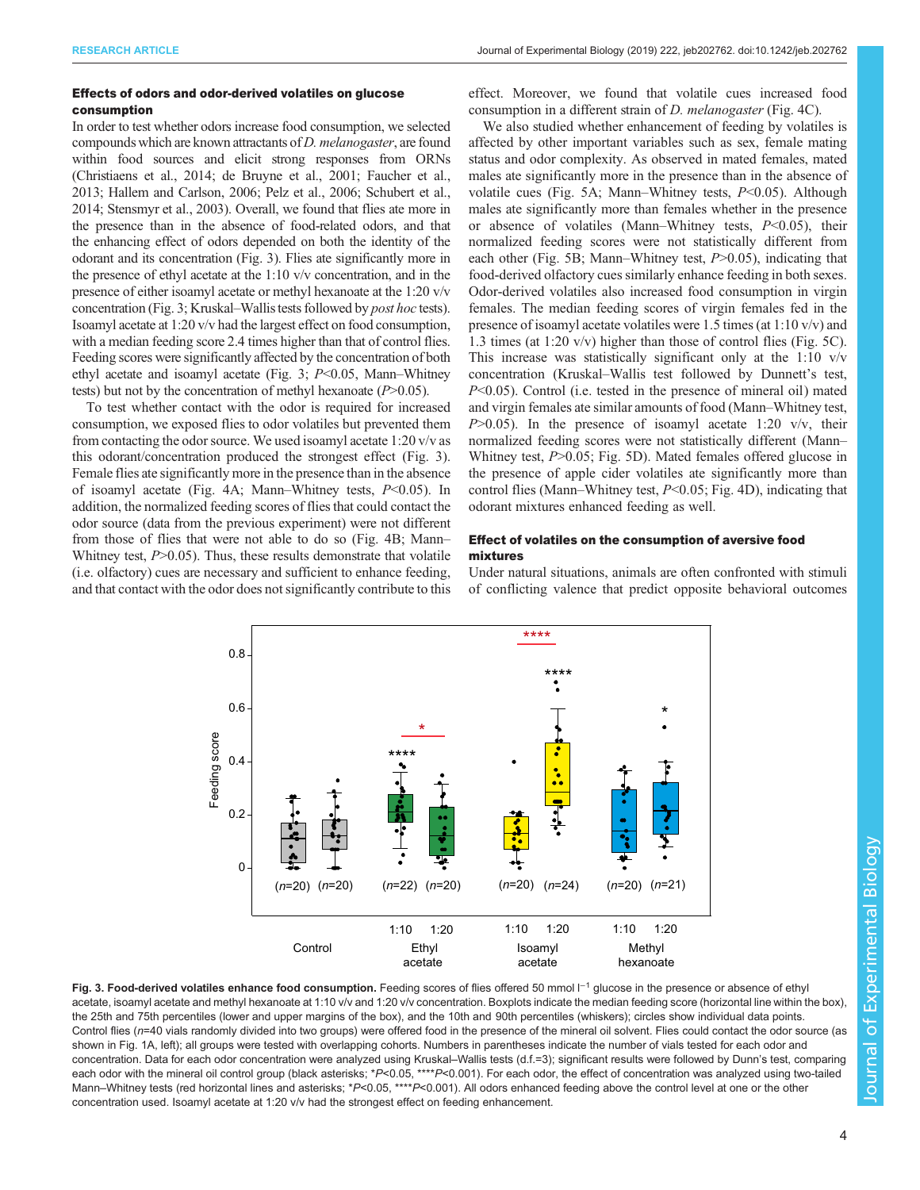## <span id="page-3-0"></span>Effects of odors and odor-derived volatiles on glucose consumption

In order to test whether odors increase food consumption, we selected compounds which are known attractants of D. melanogaster, are found within food sources and elicit strong responses from ORNs [\(Christiaens et al., 2014; de Bruyne et al., 2001](#page-7-0); [Faucher et al.,](#page-7-0) [2013](#page-7-0); [Hallem and Carlson, 2006](#page-8-0); [Pelz et al., 2006; Schubert et al.,](#page-8-0) [2014](#page-8-0); [Stensmyr et al., 2003](#page-8-0)). Overall, we found that flies ate more in the presence than in the absence of food-related odors, and that the enhancing effect of odors depended on both the identity of the odorant and its concentration (Fig. 3). Flies ate significantly more in the presence of ethyl acetate at the 1:10 v/v concentration, and in the presence of either isoamyl acetate or methyl hexanoate at the 1:20 v/v concentration (Fig. 3; Kruskal–Wallis tests followed by post hoc tests). Isoamyl acetate at 1:20 v/v had the largest effect on food consumption, with a median feeding score 2.4 times higher than that of control flies. Feeding scores were significantly affected by the concentration of both ethyl acetate and isoamyl acetate (Fig. 3;  $P<0.05$ , Mann–Whitney tests) but not by the concentration of methyl hexanoate  $(P>0.05)$ .

To test whether contact with the odor is required for increased consumption, we exposed flies to odor volatiles but prevented them from contacting the odor source. We used isoamyl acetate 1:20 v/v as this odorant/concentration produced the strongest effect (Fig. 3). Female flies ate significantly more in the presence than in the absence of isoamyl acetate [\(Fig. 4](#page-4-0)A; Mann–Whitney tests, P<0.05). In addition, the normalized feeding scores of flies that could contact the odor source (data from the previous experiment) were not different from those of flies that were not able to do so [\(Fig. 4B](#page-4-0); Mann– Whitney test,  $P > 0.05$ ). Thus, these results demonstrate that volatile (i.e. olfactory) cues are necessary and sufficient to enhance feeding, and that contact with the odor does not significantly contribute to this effect. Moreover, we found that volatile cues increased food consumption in a different strain of *D. melanogaster* ([Fig. 4C](#page-4-0)).

We also studied whether enhancement of feeding by volatiles is affected by other important variables such as sex, female mating status and odor complexity. As observed in mated females, mated males ate significantly more in the presence than in the absence of volatile cues ([Fig. 5](#page-5-0)A; Mann–Whitney tests,  $P<0.05$ ). Although males ate significantly more than females whether in the presence or absence of volatiles (Mann–Whitney tests,  $P<0.05$ ), their normalized feeding scores were not statistically different from each other ([Fig. 5B](#page-5-0); Mann–Whitney test,  $P > 0.05$ ), indicating that food-derived olfactory cues similarly enhance feeding in both sexes. Odor-derived volatiles also increased food consumption in virgin females. The median feeding scores of virgin females fed in the presence of isoamyl acetate volatiles were 1.5 times (at 1:10 v/v) and 1.3 times (at 1:20 v/v) higher than those of control flies ([Fig. 5](#page-5-0)C). This increase was statistically significant only at the  $1:10 \text{ v/v}$ concentration (Kruskal–Wallis test followed by Dunnett's test, P<0.05). Control (i.e. tested in the presence of mineral oil) mated and virgin females ate similar amounts of food (Mann–Whitney test,  $P>0.05$ ). In the presence of isoamyl acetate 1:20 v/v, their normalized feeding scores were not statistically different (Mann– Whitney test,  $P > 0.05$ ; [Fig. 5](#page-5-0)D). Mated females offered glucose in the presence of apple cider volatiles ate significantly more than control flies (Mann–Whitney test, P<0.05; [Fig. 4D](#page-4-0)), indicating that odorant mixtures enhanced feeding as well.

## Effect of volatiles on the consumption of aversive food mixtures

Under natural situations, animals are often confronted with stimuli of conflicting valence that predict opposite behavioral outcomes



Fig. 3. Food-derived volatiles enhance food consumption. Feeding scores of flies offered 50 mmol  $\Box$ <sup>1</sup> glucose in the presence or absence of ethyl acetate, isoamyl acetate and methyl hexanoate at 1:10 v/v and 1:20 v/v concentration. Boxplots indicate the median feeding score (horizontal line within the box) the 25th and 75th percentiles (lower and upper margins of the box), and the 10th and 90th percentiles (whiskers); circles show individual data points. Control flies  $(n=40)$  vials randomly divided into two groups) were offered food in the presence of the mineral oil solvent. Flies could contact the odor source (as shown in [Fig. 1](#page-1-0)A, left); all groups were tested with overlapping cohorts. Numbers in parentheses indicate the number of vials tested for each odor and concentration. Data for each odor concentration were analyzed using Kruskal–Wallis tests (d.f.=3); significant results were followed by Dunn's test, comparing each odor with the mineral oil control group (black asterisks; \*P<0.05, \*\*\*\*P<0.001). For each odor, the effect of concentration was analyzed using two-tailed Mann–Whitney tests (red horizontal lines and asterisks; \*P<0.05, \*\*\*\*P<0.001). All odors enhanced feeding above the control level at one or the other concentration used. Isoamyl acetate at 1:20 v/v had the strongest effect on feeding enhancement.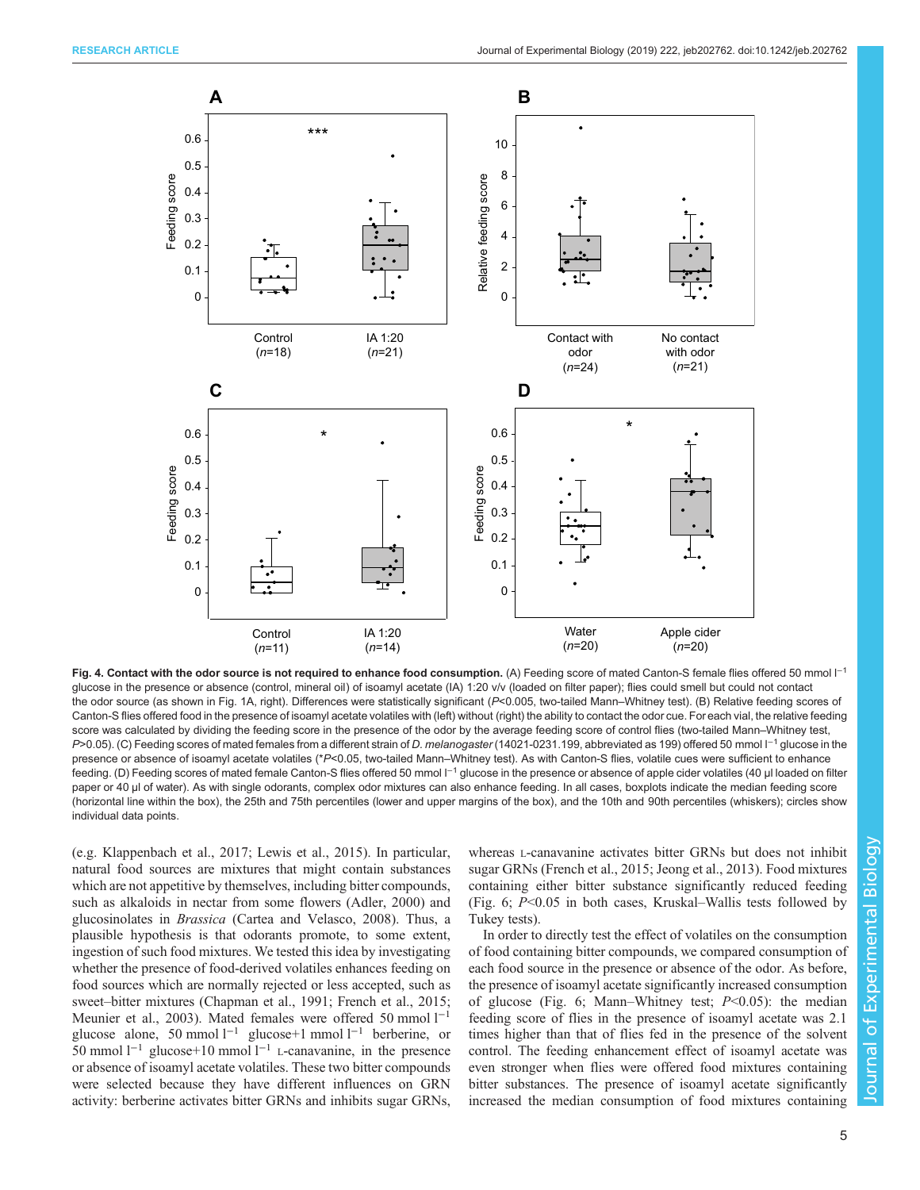<span id="page-4-0"></span>

Fig. 4. Contact with the odor source is not required to enhance food consumption. (A) Feeding score of mated Canton-S female flies offered 50 mmol l<sup>-1</sup> glucose in the presence or absence (control, mineral oil) of isoamyl acetate (IA) 1:20 v/v (loaded on filter paper); flies could smell but could not contact the odor source (as shown in [Fig. 1](#page-1-0)A, right). Differences were statistically significant (P<0.005, two-tailed Mann–Whitney test). (B) Relative feeding scores of Canton-S flies offered food in the presence of isoamyl acetate volatiles with (left) without (right) the ability to contact the odor cue. For each vial, the relative feeding score was calculated by dividing the feeding score in the presence of the odor by the average feeding score of control flies (two-tailed Mann–Whitney test, P>0.05). (C) Feeding scores of mated females from a different strain of D. melanogaster (14021-0231.199, abbreviated as 199) offered 50 mmol l<sup>-1</sup> glucose in the presence or absence of isoamyl acetate volatiles (\*P<0.05, two-tailed Mann–Whitney test). As with Canton-S flies, volatile cues were sufficient to enhance feeding. (D) Feeding scores of mated female Canton-S flies offered 50 mmol l<sup>-1</sup> glucose in the presence or absence of apple cider volatiles (40 µl loaded on filter paper or 40 µl of water). As with single odorants, complex odor mixtures can also enhance feeding. In all cases, boxplots indicate the median feeding score (horizontal line within the box), the 25th and 75th percentiles (lower and upper margins of the box), and the 10th and 90th percentiles (whiskers); circles show individual data points.

(e.g. [Klappenbach et al., 2017](#page-8-0); [Lewis et al., 2015\)](#page-8-0). In particular, natural food sources are mixtures that might contain substances which are not appetitive by themselves, including bitter compounds, such as alkaloids in nectar from some flowers ([Adler, 2000\)](#page-7-0) and glucosinolates in Brassica ([Cartea and Velasco, 2008](#page-7-0)). Thus, a plausible hypothesis is that odorants promote, to some extent, ingestion of such food mixtures. We tested this idea by investigating whether the presence of food-derived volatiles enhances feeding on food sources which are normally rejected or less accepted, such as sweet–bitter mixtures ([Chapman et al., 1991; French et al., 2015](#page-7-0); [Meunier et al., 2003](#page-8-0)). Mated females were offered 50 mmol l−<sup>1</sup> glucose alone, 50 mmol l−<sup>1</sup> glucose+1 mmol l−<sup>1</sup> berberine, or 50 mmol  $l^{-1}$  glucose+10 mmol  $l^{-1}$  L-canavanine, in the presence or absence of isoamyl acetate volatiles. These two bitter compounds were selected because they have different influences on GRN activity: berberine activates bitter GRNs and inhibits sugar GRNs,

whereas L-canavanine activates bitter GRNs but does not inhibit sugar GRNs [\(French et al., 2015;](#page-7-0) [Jeong et al., 2013](#page-8-0)). Food mixtures containing either bitter substance significantly reduced feeding [\(Fig. 6;](#page-6-0) P<0.05 in both cases, Kruskal–Wallis tests followed by Tukey tests).

In order to directly test the effect of volatiles on the consumption of food containing bitter compounds, we compared consumption of each food source in the presence or absence of the odor. As before, the presence of isoamyl acetate significantly increased consumption of glucose [\(Fig. 6](#page-6-0); Mann–Whitney test;  $P<0.05$ ): the median feeding score of flies in the presence of isoamyl acetate was 2.1 times higher than that of flies fed in the presence of the solvent control. The feeding enhancement effect of isoamyl acetate was even stronger when flies were offered food mixtures containing bitter substances. The presence of isoamyl acetate significantly increased the median consumption of food mixtures containing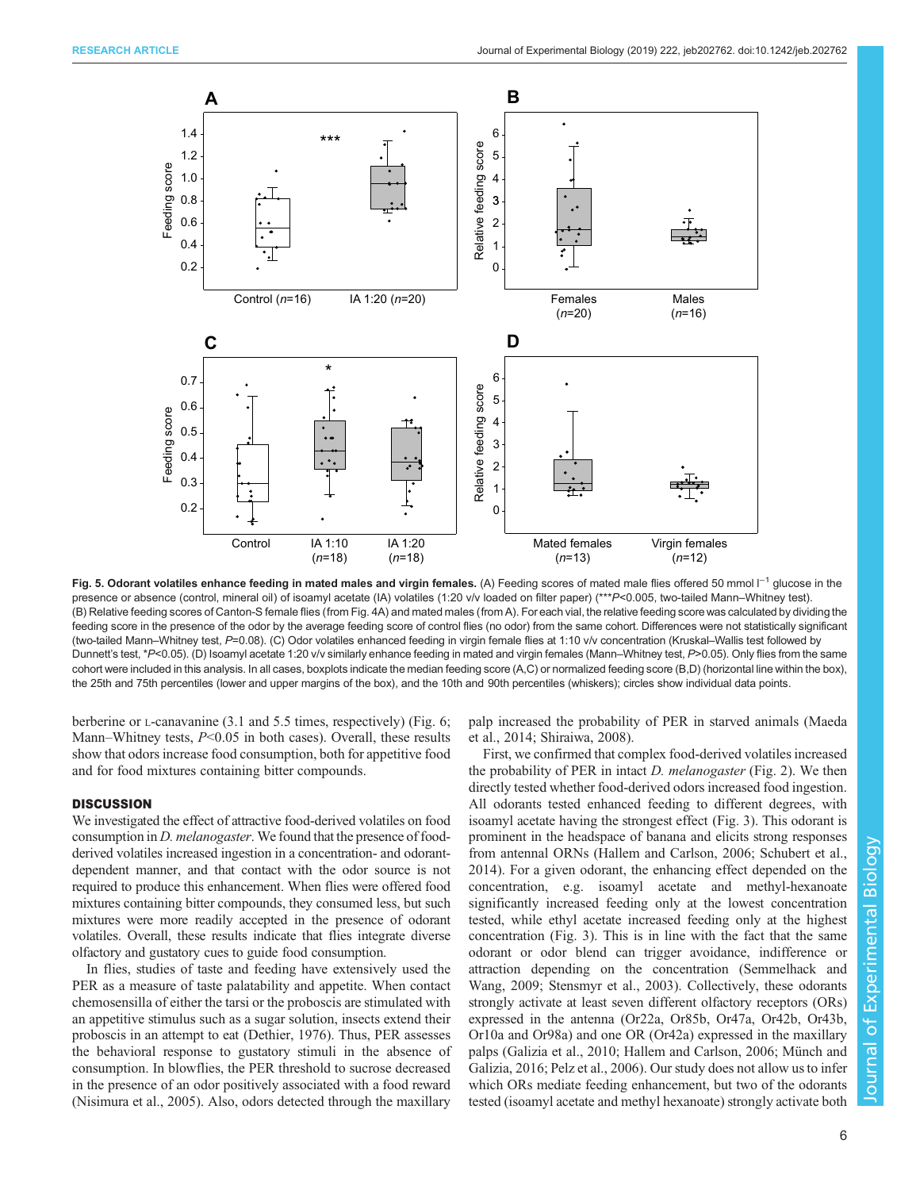<span id="page-5-0"></span>

Fig. 5. Odorant volatiles enhance feeding in mated males and virgin females. (A) Feeding scores of mated male flies offered 50 mmol  $1^{-1}$  glucose in the presence or absence (control, mineral oil) of isoamyl acetate (IA) volatiles (1:20 v/v loaded on filter paper) (\*\*\*P<0.005, two-tailed Mann–Whitney test). (B) Relative feeding scores of Canton-S female flies (from [Fig. 4A](#page-4-0)) and mated males (from A). For each vial, the relative feeding score was calculated by dividing the feeding score in the presence of the odor by the average feeding score of control flies (no odor) from the same cohort. Differences were not statistically significant (two-tailed Mann–Whitney test, P=0.08). (C) Odor volatiles enhanced feeding in virgin female flies at 1:10 v/v concentration (Kruskal–Wallis test followed by Dunnett's test, \*P<0.05). (D) Isoamyl acetate 1:20 v/v similarly enhance feeding in mated and virgin females (Mann–Whitney test, P>0.05). Only flies from the same cohort were included in this analysis. In all cases, boxplots indicate the median feeding score (A,C) or normalized feeding score (B,D) (horizontal line within the box), the 25th and 75th percentiles (lower and upper margins of the box), and the 10th and 90th percentiles (whiskers); circles show individual data points.

berberine or *L*-canavanine (3.1 and 5.5 times, respectively) [\(Fig. 6](#page-6-0); Mann–Whitney tests,  $P<0.05$  in both cases). Overall, these results show that odors increase food consumption, both for appetitive food and for food mixtures containing bitter compounds.

## **DISCUSSION**

We investigated the effect of attractive food-derived volatiles on food consumption in D. melanogaster. We found that the presence of foodderived volatiles increased ingestion in a concentration- and odorantdependent manner, and that contact with the odor source is not required to produce this enhancement. When flies were offered food mixtures containing bitter compounds, they consumed less, but such mixtures were more readily accepted in the presence of odorant volatiles. Overall, these results indicate that flies integrate diverse olfactory and gustatory cues to guide food consumption.

In flies, studies of taste and feeding have extensively used the PER as a measure of taste palatability and appetite. When contact chemosensilla of either the tarsi or the proboscis are stimulated with an appetitive stimulus such as a sugar solution, insects extend their proboscis in an attempt to eat [\(Dethier, 1976](#page-7-0)). Thus, PER assesses the behavioral response to gustatory stimuli in the absence of consumption. In blowflies, the PER threshold to sucrose decreased in the presence of an odor positively associated with a food reward [\(Nisimura et al., 2005\)](#page-8-0). Also, odors detected through the maxillary

palp increased the probability of PER in starved animals [\(Maeda](#page-8-0) [et al., 2014; Shiraiwa, 2008\)](#page-8-0).

First, we confirmed that complex food-derived volatiles increased the probability of PER in intact  $D$ . *melanogaster* [\(Fig. 2](#page-2-0)). We then directly tested whether food-derived odors increased food ingestion. All odorants tested enhanced feeding to different degrees, with isoamyl acetate having the strongest effect [\(Fig. 3\)](#page-3-0). This odorant is prominent in the headspace of banana and elicits strong responses from antennal ORNs [\(Hallem and Carlson, 2006](#page-8-0); [Schubert et al.,](#page-8-0) [2014\)](#page-8-0). For a given odorant, the enhancing effect depended on the concentration, e.g. isoamyl acetate and methyl-hexanoate significantly increased feeding only at the lowest concentration tested, while ethyl acetate increased feeding only at the highest concentration [\(Fig. 3\)](#page-3-0). This is in line with the fact that the same odorant or odor blend can trigger avoidance, indifference or attraction depending on the concentration [\(Semmelhack and](#page-8-0) [Wang, 2009](#page-8-0); [Stensmyr et al., 2003\)](#page-8-0). Collectively, these odorants strongly activate at least seven different olfactory receptors (ORs) expressed in the antenna (Or22a, Or85b, Or47a, Or42b, Or43b, Or10a and Or98a) and one OR (Or42a) expressed in the maxillary palps ([Galizia et al., 2010](#page-7-0); [Hallem and Carlson, 2006](#page-8-0); [Münch and](#page-8-0) [Galizia, 2016](#page-8-0); [Pelz et al., 2006](#page-8-0)). Our study does not allow us to infer which ORs mediate feeding enhancement, but two of the odorants tested (isoamyl acetate and methyl hexanoate) strongly activate both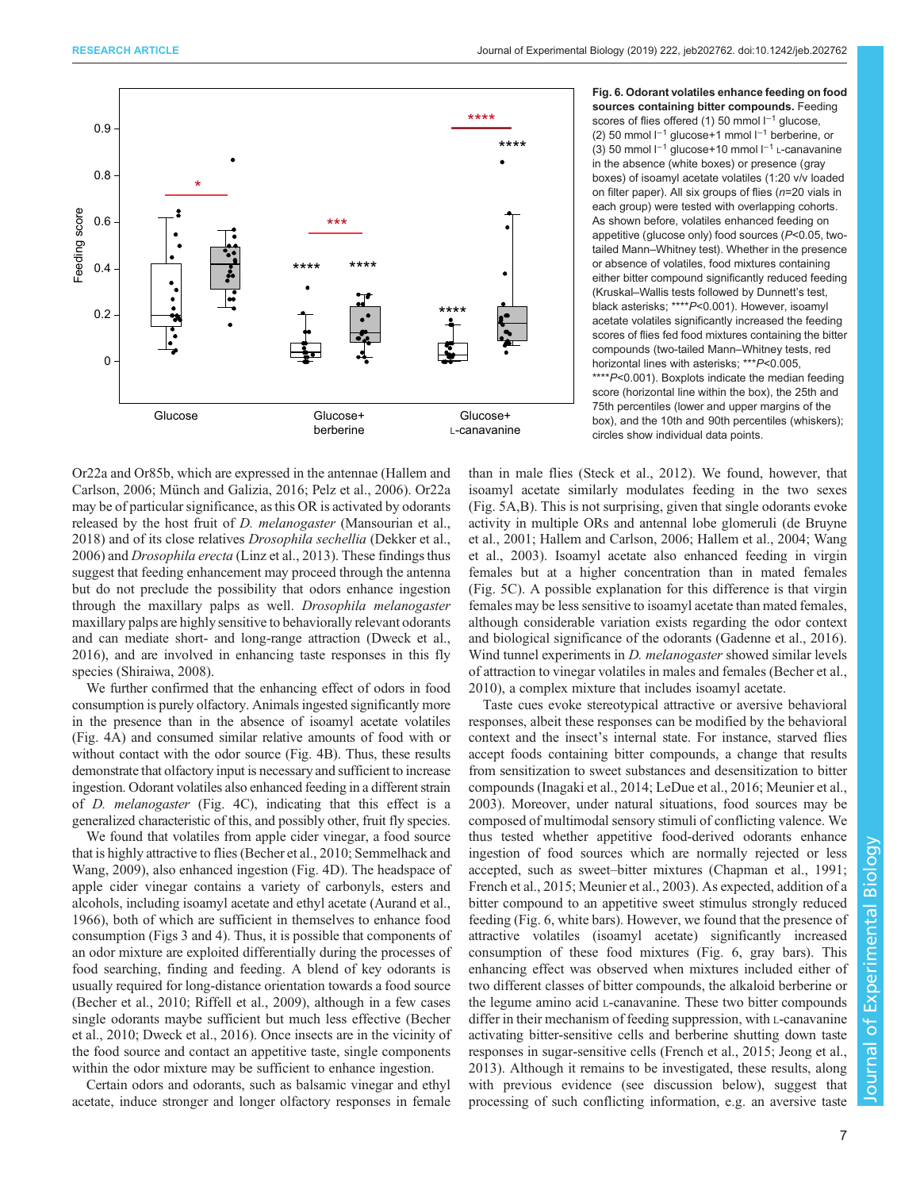<span id="page-6-0"></span>

Or22a and Or85b, which are expressed in the antennae ([Hallem and](#page-8-0) [Carlson, 2006](#page-8-0); [Münch and Galizia, 2016; Pelz et al., 2006](#page-8-0)). Or22a may be of particular significance, as this OR is activated by odorants released by the host fruit of *D. melanogaster* ([Mansourian et al.,](#page-8-0) [2018](#page-8-0)) and of its close relatives Drosophila sechellia ([Dekker et al.,](#page-7-0) [2006](#page-7-0)) and Drosophila erecta [\(Linz et al., 2013](#page-8-0)). These findings thus suggest that feeding enhancement may proceed through the antenna but do not preclude the possibility that odors enhance ingestion through the maxillary palps as well. Drosophila melanogaster maxillary palps are highly sensitive to behaviorally relevant odorants and can mediate short- and long-range attraction [\(Dweck et al.,](#page-7-0) [2016](#page-7-0)), and are involved in enhancing taste responses in this fly species ([Shiraiwa, 2008](#page-8-0)).

We further confirmed that the enhancing effect of odors in food consumption is purely olfactory. Animals ingested significantly more in the presence than in the absence of isoamyl acetate volatiles [\(Fig. 4](#page-4-0)A) and consumed similar relative amounts of food with or without contact with the odor source [\(Fig. 4](#page-4-0)B). Thus, these results demonstrate that olfactory input is necessary and sufficient to increase ingestion. Odorant volatiles also enhanced feeding in a different strain of D. melanogaster [\(Fig. 4](#page-4-0)C), indicating that this effect is a generalized characteristic of this, and possibly other, fruit fly species.

We found that volatiles from apple cider vinegar, a food source that is highly attractive to flies ([Becher et al., 2010;](#page-7-0) [Semmelhack and](#page-8-0) [Wang, 2009\)](#page-8-0), also enhanced ingestion [\(Fig. 4](#page-4-0)D). The headspace of apple cider vinegar contains a variety of carbonyls, esters and alcohols, including isoamyl acetate and ethyl acetate [\(Aurand et al.,](#page-7-0) [1966](#page-7-0)), both of which are sufficient in themselves to enhance food consumption [\(Figs 3](#page-3-0) and [4](#page-4-0)). Thus, it is possible that components of an odor mixture are exploited differentially during the processes of food searching, finding and feeding. A blend of key odorants is usually required for long-distance orientation towards a food source [\(Becher et al., 2010](#page-7-0); [Riffell et al., 2009\)](#page-8-0), although in a few cases single odorants maybe sufficient but much less effective [\(Becher](#page-7-0) [et al., 2010](#page-7-0); [Dweck et al., 2016\)](#page-7-0). Once insects are in the vicinity of the food source and contact an appetitive taste, single components within the odor mixture may be sufficient to enhance ingestion.

Certain odors and odorants, such as balsamic vinegar and ethyl acetate, induce stronger and longer olfactory responses in female Fig. 6. Odorant volatiles enhance feeding on food sources containing bitter compounds. Feeding scores of flies offered (1) 50 mmol l<sup>-1</sup> glucose, (2) 50 mmol l−<sup>1</sup> glucose+1 mmol l−<sup>1</sup> berberine, or (3) 50 mmol l−<sup>1</sup> glucose+10 mmol l−<sup>1</sup> L-canavanine in the absence (white boxes) or presence (gray boxes) of isoamyl acetate volatiles (1:20 v/v loaded on filter paper). All six groups of flies (n=20 vials in each group) were tested with overlapping cohorts. As shown before, volatiles enhanced feeding on appetitive (glucose only) food sources  $(P<0.05$ , twotailed Mann–Whitney test). Whether in the presence or absence of volatiles, food mixtures containing either bitter compound significantly reduced feeding (Kruskal–Wallis tests followed by Dunnett's test, black asterisks; \*\*\*\*P<0.001). However, isoamyl acetate volatiles significantly increased the feeding scores of flies fed food mixtures containing the bitter compounds (two-tailed Mann–Whitney tests, red horizontal lines with asterisks; \*\*\*P<0.005, \*\*\*\*P<0.001). Boxplots indicate the median feeding score (horizontal line within the box), the 25th and 75th percentiles (lower and upper margins of the box), and the 10th and 90th percentiles (whiskers); circles show individual data points.

than in male flies [\(Steck et al., 2012\)](#page-8-0). We found, however, that isoamyl acetate similarly modulates feeding in the two sexes [\(Fig. 5A](#page-5-0),B). This is not surprising, given that single odorants evoke activity in multiple ORs and antennal lobe glomeruli ([de Bruyne](#page-7-0) [et al., 2001](#page-7-0); [Hallem and Carlson, 2006](#page-8-0); [Hallem et al., 2004; Wang](#page-8-0) [et al., 2003](#page-8-0)). Isoamyl acetate also enhanced feeding in virgin females but at a higher concentration than in mated females [\(Fig. 5C](#page-5-0)). A possible explanation for this difference is that virgin females may be less sensitive to isoamyl acetate than mated females, although considerable variation exists regarding the odor context and biological significance of the odorants ([Gadenne et al., 2016\)](#page-7-0). Wind tunnel experiments in *D. melanogaster* showed similar levels of attraction to vinegar volatiles in males and females [\(Becher et al.,](#page-7-0) [2010\)](#page-7-0), a complex mixture that includes isoamyl acetate.

Taste cues evoke stereotypical attractive or aversive behavioral responses, albeit these responses can be modified by the behavioral context and the insect's internal state. For instance, starved flies accept foods containing bitter compounds, a change that results from sensitization to sweet substances and desensitization to bitter compounds ([Inagaki et al., 2014](#page-8-0); [LeDue et al., 2016; Meunier et al.,](#page-8-0) [2003\)](#page-8-0). Moreover, under natural situations, food sources may be composed of multimodal sensory stimuli of conflicting valence. We thus tested whether appetitive food-derived odorants enhance ingestion of food sources which are normally rejected or less accepted, such as sweet–bitter mixtures [\(Chapman et al., 1991](#page-7-0); [French et al., 2015;](#page-7-0) [Meunier et al., 2003\)](#page-8-0). As expected, addition of a bitter compound to an appetitive sweet stimulus strongly reduced feeding (Fig. 6, white bars). However, we found that the presence of attractive volatiles (isoamyl acetate) significantly increased consumption of these food mixtures (Fig. 6, gray bars). This enhancing effect was observed when mixtures included either of two different classes of bitter compounds, the alkaloid berberine or the legume amino acid L-canavanine. These two bitter compounds differ in their mechanism of feeding suppression, with L-canavanine activating bitter-sensitive cells and berberine shutting down taste responses in sugar-sensitive cells [\(French et al., 2015](#page-7-0); [Jeong et al.,](#page-8-0) [2013\)](#page-8-0). Although it remains to be investigated, these results, along with previous evidence (see discussion below), suggest that processing of such conflicting information, e.g. an aversive taste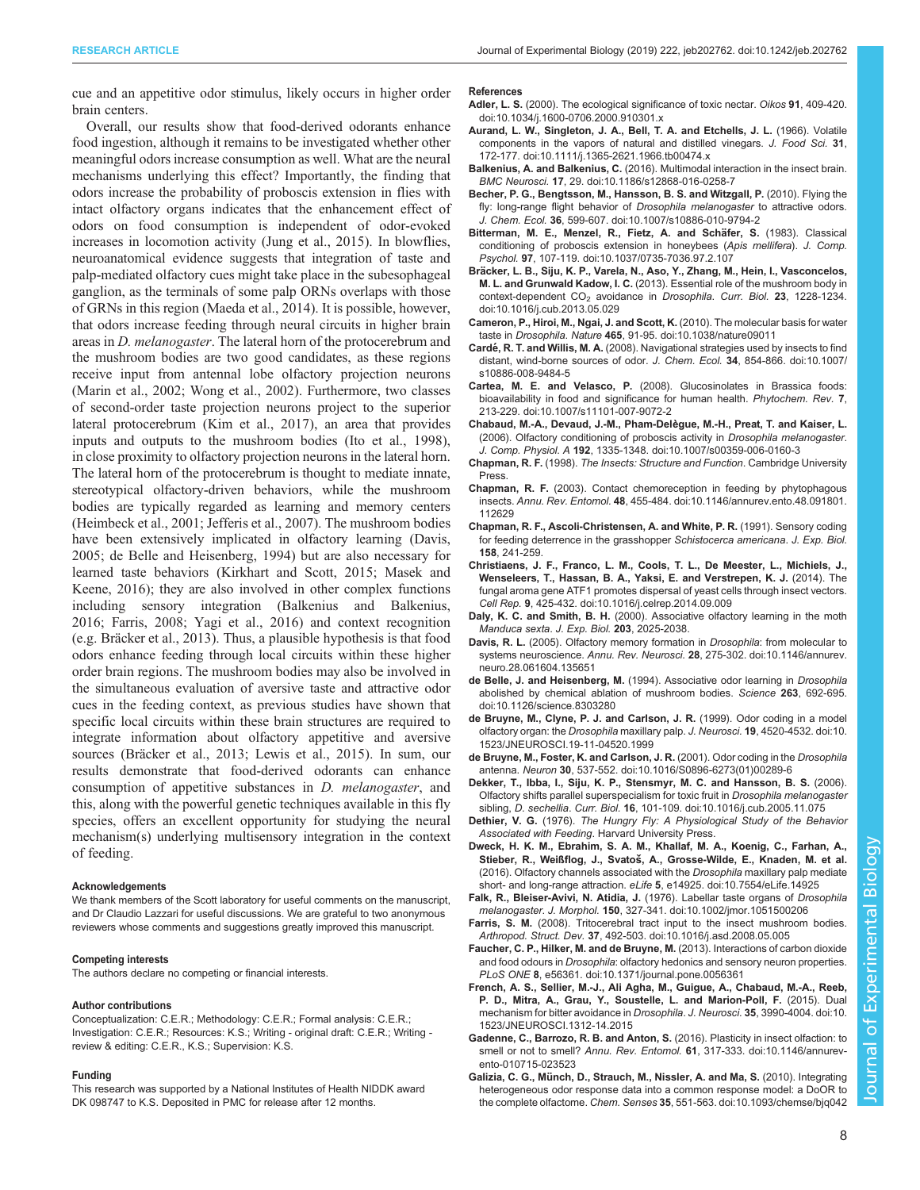<span id="page-7-0"></span>cue and an appetitive odor stimulus, likely occurs in higher order brain centers.

Overall, our results show that food-derived odorants enhance food ingestion, although it remains to be investigated whether other meaningful odors increase consumption as well. What are the neural mechanisms underlying this effect? Importantly, the finding that odors increase the probability of proboscis extension in flies with intact olfactory organs indicates that the enhancement effect of odors on food consumption is independent of odor-evoked increases in locomotion activity [\(Jung et al., 2015\)](#page-8-0). In blowflies, neuroanatomical evidence suggests that integration of taste and palp-mediated olfactory cues might take place in the subesophageal ganglion, as the terminals of some palp ORNs overlaps with those of GRNs in this region ([Maeda et al., 2014\)](#page-8-0). It is possible, however, that odors increase feeding through neural circuits in higher brain areas in D. melanogaster. The lateral horn of the protocerebrum and the mushroom bodies are two good candidates, as these regions receive input from antennal lobe olfactory projection neurons [\(Marin et al., 2002;](#page-8-0) [Wong et al., 2002\)](#page-9-0). Furthermore, two classes of second-order taste projection neurons project to the superior lateral protocerebrum [\(Kim et al., 2017](#page-8-0)), an area that provides inputs and outputs to the mushroom bodies ([Ito et al., 1998\)](#page-8-0), in close proximity to olfactory projection neurons in the lateral horn. The lateral horn of the protocerebrum is thought to mediate innate, stereotypical olfactory-driven behaviors, while the mushroom bodies are typically regarded as learning and memory centers [\(Heimbeck et al., 2001](#page-8-0); [Jefferis et al., 2007\)](#page-8-0). The mushroom bodies have been extensively implicated in olfactory learning (Davis, 2005; de Belle and Heisenberg, 1994) but are also necessary for learned taste behaviors [\(Kirkhart and Scott, 2015; Masek and](#page-8-0) [Keene, 2016](#page-8-0)); they are also involved in other complex functions including sensory integration (Balkenius and Balkenius, 2016; Farris, 2008; [Yagi et al., 2016\)](#page-9-0) and context recognition (e.g. Bräcker et al., 2013). Thus, a plausible hypothesis is that food odors enhance feeding through local circuits within these higher order brain regions. The mushroom bodies may also be involved in the simultaneous evaluation of aversive taste and attractive odor cues in the feeding context, as previous studies have shown that specific local circuits within these brain structures are required to integrate information about olfactory appetitive and aversive sources (Bräcker et al., 2013; [Lewis et al., 2015\)](#page-8-0). In sum, our results demonstrate that food-derived odorants can enhance consumption of appetitive substances in D. melanogaster, and this, along with the powerful genetic techniques available in this fly species, offers an excellent opportunity for studying the neural mechanism(s) underlying multisensory integration in the context of feeding.

#### Acknowledgements

We thank members of the Scott laboratory for useful comments on the manuscript, and Dr Claudio Lazzari for useful discussions. We are grateful to two anonymous reviewers whose comments and suggestions greatly improved this manuscript.

## Competing interests

The authors declare no competing or financial interests.

#### Author contributions

Conceptualization: C.E.R.; Methodology: C.E.R.; Formal analysis: C.E.R.; Investigation: C.E.R.; Resources: K.S.; Writing - original draft: C.E.R.; Writing review & editing: C.E.R., K.S.; Supervision: K.S.

#### Funding

This research was supported by a National Institutes of Health NIDDK award DK 098747 to K.S. Deposited in PMC for release after 12 months.

#### References

- Adler, L. S. [\(2000\). The ecological significance of toxic nectar.](https://doi.org/10.1034/j.1600-0706.2000.910301.x) Oikos 91, 409-420. [doi:10.1034/j.1600-0706.2000.910301.x](https://doi.org/10.1034/j.1600-0706.2000.910301.x)
- [Aurand, L. W., Singleton, J. A., Bell, T. A. and Etchells, J. L.](https://doi.org/10.1111/j.1365-2621.1966.tb00474.x) (1966). Volatile [components in the vapors of natural and distilled vinegars.](https://doi.org/10.1111/j.1365-2621.1966.tb00474.x) J. Food Sci. 31, [172-177. doi:10.1111/j.1365-2621.1966.tb00474.x](https://doi.org/10.1111/j.1365-2621.1966.tb00474.x)
- Balkenius, A. and Balkenius, C. [\(2016\). Multimodal interaction in the insect brain.](https://doi.org/10.1186/s12868-016-0258-7) BMC Neurosci. 17[, 29. doi:10.1186/s12868-016-0258-7](https://doi.org/10.1186/s12868-016-0258-7)
- [Becher, P. G., Bengtsson, M., Hansson, B. S. and Witzgall, P.](https://doi.org/10.1007/s10886-010-9794-2) (2010). Flying the [fly: long-range flight behavior of](https://doi.org/10.1007/s10886-010-9794-2) Drosophila melanogaster to attractive odors. J. Chem. Ecol. 36[, 599-607. doi:10.1007/s10886-010-9794-2](https://doi.org/10.1007/s10886-010-9794-2)
- Bitterman, M. E., Menzel, R., Fietz, A. and Schäfer, S. (1983). Classical [conditioning of proboscis extension in honeybees \(](https://doi.org/10.1037/0735-7036.97.2.107)Apis mellifera). J. Comp. Psychol. 97[, 107-119. doi:10.1037/0735-7036.97.2.107](https://doi.org/10.1037/0735-7036.97.2.107)
- Brä[cker, L. B., Siju, K. P., Varela, N., Aso, Y., Zhang, M., Hein, I., Vasconcelos,](https://doi.org/10.1016/j.cub.2013.05.029) M. L. and Grunwald Kadow, I. C. [\(2013\). Essential role of the mushroom body in](https://doi.org/10.1016/j.cub.2013.05.029) context-dependent CO<sub>2</sub> avoidance in Drosophila. Curr. Biol. 23[, 1228-1234.](https://doi.org/10.1016/j.cub.2013.05.029) [doi:10.1016/j.cub.2013.05.029](https://doi.org/10.1016/j.cub.2013.05.029)
- [Cameron, P., Hiroi, M., Ngai, J. and Scott, K.](https://doi.org/10.1038/nature09011) (2010). The molecular basis for water taste in Drosophila. Nature 465[, 91-95. doi:10.1038/nature09011](https://doi.org/10.1038/nature09011)
- Cardé, R. T. and Willis, M. A. [\(2008\). Navigational strategies used by insects to find](https://doi.org/10.1007/s10886-008-9484-5) [distant, wind-borne sources of odor.](https://doi.org/10.1007/s10886-008-9484-5) J. Chem. Ecol. 34, 854-866. doi:10.1007/ [s10886-008-9484-5](https://doi.org/10.1007/s10886-008-9484-5)
- Cartea, M. E. and Velasco, P. [\(2008\). Glucosinolates in Brassica foods:](https://doi.org/10.1007/s11101-007-9072-2) [bioavailability in food and significance for human health.](https://doi.org/10.1007/s11101-007-9072-2) Phytochem. Rev. 7, [213-229. doi:10.1007/s11101-007-9072-2](https://doi.org/10.1007/s11101-007-9072-2)
- Chabaud, M.-A., Devaud, J.-M., Pham-Delègue, M.-H., Preat, T. and Kaiser, L. [\(2006\). Olfactory conditioning of proboscis activity in](https://doi.org/10.1007/s00359-006-0160-3) Drosophila melanogaster. J. Comp. Physiol. A 192[, 1335-1348. doi:10.1007/s00359-006-0160-3](https://doi.org/10.1007/s00359-006-0160-3)
- Chapman, R. F. (1998). The Insects: Structure and Function. Cambridge University Press.
- Chapman, R. F. [\(2003\). Contact chemoreception in feeding by phytophagous](https://doi.org/10.1146/annurev.ento.48.091801.112629) insects. Annu. Rev. Entomol. 48[, 455-484. doi:10.1146/annurev.ento.48.091801.](https://doi.org/10.1146/annurev.ento.48.091801.112629) [112629](https://doi.org/10.1146/annurev.ento.48.091801.112629)
- Chapman, R. F., Ascoli-Christensen, A. and White, P. R. (1991). Sensory coding for feeding deterrence in the grasshopper Schistocerca americana. J. Exp. Biol. 158, 241-259.
- [Christiaens, J. F., Franco, L. M., Cools, T. L., De Meester, L., Michiels, J.,](https://doi.org/10.1016/j.celrep.2014.09.009) [Wenseleers, T., Hassan, B. A., Yaksi, E. and Verstrepen, K. J.](https://doi.org/10.1016/j.celrep.2014.09.009) (2014). The [fungal aroma gene ATF1 promotes dispersal of yeast cells through insect vectors.](https://doi.org/10.1016/j.celrep.2014.09.009) Cell Rep. 9[, 425-432. doi:10.1016/j.celrep.2014.09.009](https://doi.org/10.1016/j.celrep.2014.09.009)
- Daly, K. C. and Smith, B. H. (2000). Associative olfactory learning in the moth Manduca sexta. J. Exp. Biol. 203, 2025-2038.
- Davis, R. L. [\(2005\). Olfactory memory formation in](https://doi.org/10.1146/annurev.neuro.28.061604.135651) Drosophila: from molecular to systems neuroscience. Annu. Rev. Neurosci. 28[, 275-302. doi:10.1146/annurev.](https://doi.org/10.1146/annurev.neuro.28.061604.135651) [neuro.28.061604.135651](https://doi.org/10.1146/annurev.neuro.28.061604.135651)
- de Belle, J. and Heisenberg, M. [\(1994\). Associative odor learning in](https://doi.org/10.1126/science.8303280) Drosophila [abolished by chemical ablation of mushroom bodies.](https://doi.org/10.1126/science.8303280) Science 263, 692-695. [doi:10.1126/science.8303280](https://doi.org/10.1126/science.8303280)
- [de Bruyne, M., Clyne, P. J. and Carlson, J. R.](https://doi.org/10.1523/JNEUROSCI.19-11-04520.1999) (1999). Odor coding in a model olfactory organ: the Drosophila maxillary palp. J. Neurosci. 19[, 4520-4532. doi:10.](https://doi.org/10.1523/JNEUROSCI.19-11-04520.1999) [1523/JNEUROSCI.19-11-04520.1999](https://doi.org/10.1523/JNEUROSCI.19-11-04520.1999)
- [de Bruyne, M., Foster, K. and Carlson, J. R.](https://doi.org/10.1016/S0896-6273(01)00289-6) (2001). Odor coding in the Drosophila antenna. Neuron 30[, 537-552. doi:10.1016/S0896-6273\(01\)00289-6](https://doi.org/10.1016/S0896-6273(01)00289-6)
- [Dekker, T., Ibba, I., Siju, K. P., Stensmyr, M. C. and Hansson, B. S.](https://doi.org/10.1016/j.cub.2005.11.075) (2006). [Olfactory shifts parallel superspecialism for toxic fruit in](https://doi.org/10.1016/j.cub.2005.11.075) Drosophila melanogaster sibling, D. sechellia. Curr. Biol. 16[, 101-109. doi:10.1016/j.cub.2005.11.075](https://doi.org/10.1016/j.cub.2005.11.075)
- Dethier, V. G. (1976). The Hungry Fly: A Physiological Study of the Behavior Associated with Feeding. Harvard University Press.
- [Dweck, H. K. M., Ebrahim, S. A. M., Khallaf, M. A., Koenig, C., Farhan, A.,](https://doi.org/10.7554/eLife.14925) Stieber, R., Weißflog, J., Svatoš[, A., Grosse-Wilde, E., Knaden, M. et al.](https://doi.org/10.7554/eLife.14925) [\(2016\). Olfactory channels associated with the](https://doi.org/10.7554/eLife.14925) Drosophila maxillary palp mediate short- and long-range attraction. eLife 5[, e14925. doi:10.7554/eLife.14925](https://doi.org/10.7554/eLife.14925)
- [Falk, R., Bleiser-Avivi, N. Atidia, J.](https://doi.org/10.1002/jmor.1051500206) (1976). Labellar taste organs of Drosophila melanogaster. J. Morphol. 150[, 327-341. doi:10.1002/jmor.1051500206](https://doi.org/10.1002/jmor.1051500206)
- Farris, S. M. [\(2008\). Tritocerebral tract input to the insect mushroom bodies.](https://doi.org/10.1016/j.asd.2008.05.005) Arthropod. Struct. Dev. 37[, 492-503. doi:10.1016/j.asd.2008.05.005](https://doi.org/10.1016/j.asd.2008.05.005)
- [Faucher, C. P., Hilker, M. and de Bruyne, M.](https://doi.org/10.1371/journal.pone.0056361) (2013). Interactions of carbon dioxide and food odours in Drosophila[: olfactory hedonics and sensory neuron properties.](https://doi.org/10.1371/journal.pone.0056361) PLoS ONE 8[, e56361. doi:10.1371/journal.pone.0056361](https://doi.org/10.1371/journal.pone.0056361)
- [French, A. S., Sellier, M.-J., Ali Agha, M., Guigue, A., Chabaud, M.-A., Reeb,](https://doi.org/10.1523/JNEUROSCI.1312-14.2015) [P. D., Mitra, A., Grau, Y., Soustelle, L. and Marion-Poll, F.](https://doi.org/10.1523/JNEUROSCI.1312-14.2015) (2015). Dual [mechanism for bitter avoidance in](https://doi.org/10.1523/JNEUROSCI.1312-14.2015) Drosophila. J. Neurosci. 35, 3990-4004. doi:10. [1523/JNEUROSCI.1312-14.2015](https://doi.org/10.1523/JNEUROSCI.1312-14.2015)
- [Gadenne, C., Barrozo, R. B. and Anton, S.](https://doi.org/10.1146/annurev-ento-010715-023523) (2016). Plasticity in insect olfaction: to smell or not to smell? Annu. Rev. Entomol. 61[, 317-333. doi:10.1146/annurev](https://doi.org/10.1146/annurev-ento-010715-023523)[ento-010715-023523](https://doi.org/10.1146/annurev-ento-010715-023523)
- Galizia, C. G., Mü[nch, D., Strauch, M., Nissler, A. and Ma, S.](https://doi.org/10.1093/chemse/bjq042) (2010). Integrating [heterogeneous odor response data into a common response model: a DoOR to](https://doi.org/10.1093/chemse/bjq042) the complete olfactome. Chem. Senses 35[, 551-563. doi:10.1093/chemse/bjq042](https://doi.org/10.1093/chemse/bjq042)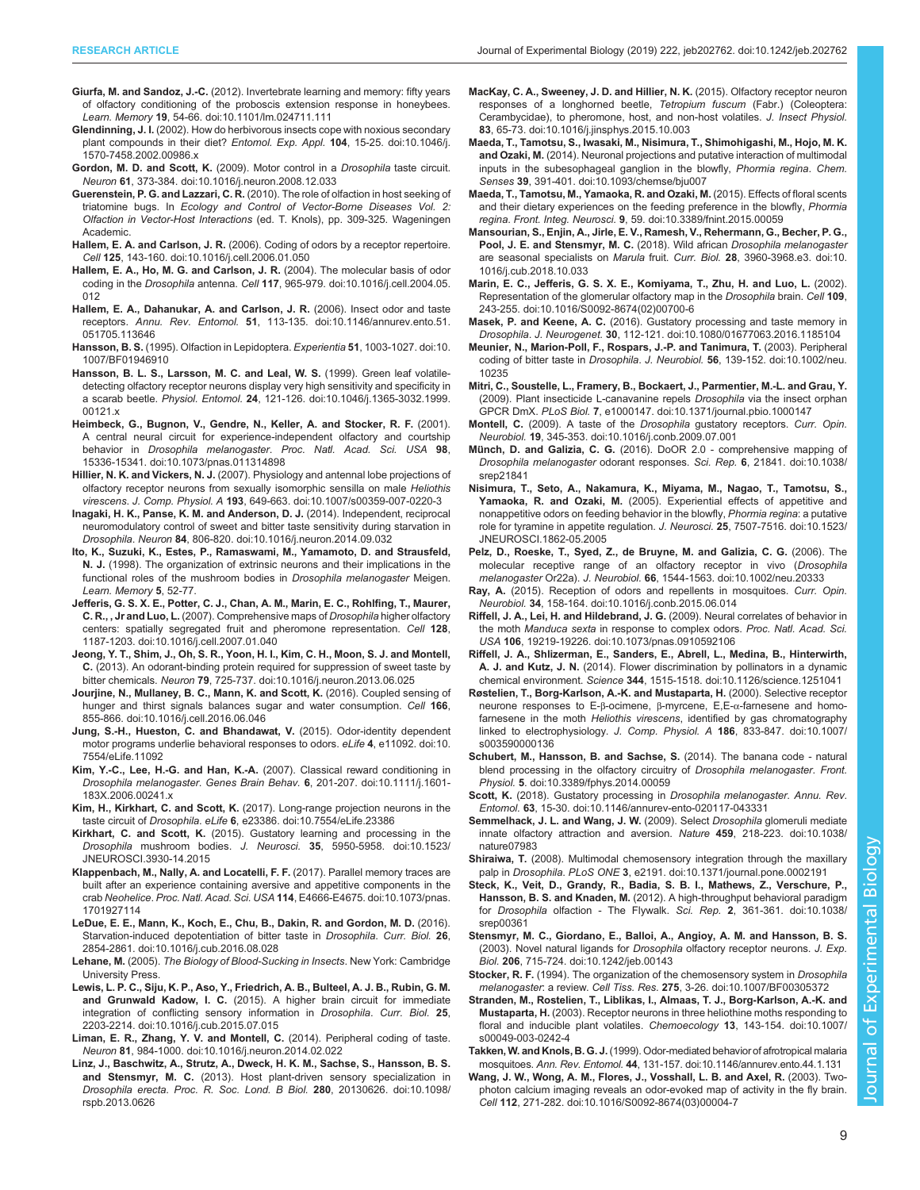- <span id="page-8-0"></span>Giurfa, M. and Sandoz, J.-C. [\(2012\). Invertebrate learning and memory: fifty years](https://doi.org/10.1101/lm.024711.111) [of olfactory conditioning of the proboscis extension response in honeybees.](https://doi.org/10.1101/lm.024711.111) Learn. Memory 19[, 54-66. doi:10.1101/lm.024711.111](https://doi.org/10.1101/lm.024711.111)
- Glendinning, J. I. [\(2002\). How do herbivorous insects cope with noxious secondary](https://doi.org/10.1046/j.1570-7458.2002.00986.x) [plant compounds in their diet?](https://doi.org/10.1046/j.1570-7458.2002.00986.x) Entomol. Exp. Appl. 104, 15-25. doi:10.1046/j. [1570-7458.2002.00986.x](https://doi.org/10.1046/j.1570-7458.2002.00986.x)
- [Gordon, M. D. and Scott, K.](https://doi.org/10.1016/j.neuron.2008.12.033) (2009). Motor control in a Drosophila taste circuit. Neuron 61[, 373-384. doi:10.1016/j.neuron.2008.12.033](https://doi.org/10.1016/j.neuron.2008.12.033)
- Guerenstein, P. G. and Lazzari, C. R. (2010). The role of olfaction in host seeking of triatomine bugs. In Ecology and Control of Vector-Borne Diseases Vol. 2: Olfaction in Vector-Host Interactions (ed. T. Knols), pp. 309-325. Wageningen Academic.
- Hallem, E. A. and Carlson, J. R. [\(2006\). Coding of odors by a receptor repertoire.](https://doi.org/10.1016/j.cell.2006.01.050) Cell 125[, 143-160. doi:10.1016/j.cell.2006.01.050](https://doi.org/10.1016/j.cell.2006.01.050)
- [Hallem, E. A., Ho, M. G. and Carlson, J. R.](https://doi.org/10.1016/j.cell.2004.05.012) (2004). The molecular basis of odor coding in the Drosophila antenna. Cell 117[, 965-979. doi:10.1016/j.cell.2004.05.](https://doi.org/10.1016/j.cell.2004.05.012) [012](https://doi.org/10.1016/j.cell.2004.05.012)
- [Hallem, E. A., Dahanukar, A. and Carlson, J. R.](https://doi.org/10.1146/annurev.ento.51.051705.113646) (2006). Insect odor and taste receptors. Annu. Rev. Entomol. 51[, 113-135. doi:10.1146/annurev.ento.51.](https://doi.org/10.1146/annurev.ento.51.051705.113646) [051705.113646](https://doi.org/10.1146/annurev.ento.51.051705.113646)
- Hansson, B. S. [\(1995\). Olfaction in Lepidoptera.](https://doi.org/10.1007/BF01946910) Experientia 51, 1003-1027. doi:10. [1007/BF01946910](https://doi.org/10.1007/BF01946910)
- [Hansson, B. L. S., Larsson, M. C. and Leal, W. S.](https://doi.org/10.1046/j.1365-3032.1999.00121.x) (1999). Green leaf volatile[detecting olfactory receptor neurons display very high sensitivity and specificity in](https://doi.org/10.1046/j.1365-3032.1999.00121.x) a scarab beetle. Physiol. Entomol. 24[, 121-126. doi:10.1046/j.1365-3032.1999.](https://doi.org/10.1046/j.1365-3032.1999.00121.x) [00121.x](https://doi.org/10.1046/j.1365-3032.1999.00121.x)
- [Heimbeck, G., Bugnon, V., Gendre, N., Keller, A. and Stocker, R. F.](https://doi.org/10.1073/pnas.011314898) (2001). [A central neural circuit for experience-independent olfactory and courtship](https://doi.org/10.1073/pnas.011314898) behavior in Drosophila melanogaster. [Proc. Natl. Acad. Sci. USA](https://doi.org/10.1073/pnas.011314898) 98, [15336-15341. doi:10.1073/pnas.011314898](https://doi.org/10.1073/pnas.011314898)
- Hillier, N. K. and Vickers, N. J. [\(2007\). Physiology and antennal lobe projections of](https://doi.org/10.1007/s00359-007-0220-3) [olfactory receptor neurons from sexually isomorphic sensilla on male](https://doi.org/10.1007/s00359-007-0220-3) Heliothis virescens. J. Comp. Physiol. A 193[, 649-663. doi:10.1007/s00359-007-0220-3](https://doi.org/10.1007/s00359-007-0220-3)
- [Inagaki, H. K., Panse, K. M. and Anderson, D. J.](https://doi.org/10.1016/j.neuron.2014.09.032) (2014). Independent, reciprocal [neuromodulatory control of sweet and bitter taste sensitivity during starvation in](https://doi.org/10.1016/j.neuron.2014.09.032) Drosophila. Neuron 84[, 806-820. doi:10.1016/j.neuron.2014.09.032](https://doi.org/10.1016/j.neuron.2014.09.032)
- Ito, K., Suzuki, K., Estes, P., Ramaswami, M., Yamamoto, D. and Strausfeld, N. J. (1998). The organization of extrinsic neurons and their implications in the functional roles of the mushroom bodies in Drosophila melanogaster Meigen. Learn. Memory 5, 52-77.
- [Jefferis, G. S. X. E., Potter, C. J., Chan, A. M., Marin, E. C., Rohlfing, T., Maurer,](https://doi.org/10.1016/j.cell.2007.01.040) C. R., , Jr and Luo, L. [\(2007\). Comprehensive maps of](https://doi.org/10.1016/j.cell.2007.01.040) Drosophila higher olfactory [centers: spatially segregated fruit and pheromone representation.](https://doi.org/10.1016/j.cell.2007.01.040) Cell 128, [1187-1203. doi:10.1016/j.cell.2007.01.040](https://doi.org/10.1016/j.cell.2007.01.040)
- [Jeong, Y. T., Shim, J., Oh, S. R., Yoon, H. I., Kim, C. H., Moon, S. J. and Montell,](https://doi.org/10.1016/j.neuron.2013.06.025) C. [\(2013\). An odorant-binding protein required for suppression of sweet taste by](https://doi.org/10.1016/j.neuron.2013.06.025) bitter chemicals. Neuron 79[, 725-737. doi:10.1016/j.neuron.2013.06.025](https://doi.org/10.1016/j.neuron.2013.06.025)
- [Jourjine, N., Mullaney, B. C., Mann, K. and Scott, K.](https://doi.org/10.1016/j.cell.2016.06.046) (2016). Coupled sensing of [hunger and thirst signals balances sugar and water consumption.](https://doi.org/10.1016/j.cell.2016.06.046) Cell 166, [855-866. doi:10.1016/j.cell.2016.06.046](https://doi.org/10.1016/j.cell.2016.06.046)
- [Jung, S.-H., Hueston, C. and Bhandawat, V.](https://doi.org/10.7554/eLife.11092) (2015). Odor-identity dependent [motor programs underlie behavioral responses to odors.](https://doi.org/10.7554/eLife.11092) eLife 4, e11092. doi:10. [7554/eLife.11092](https://doi.org/10.7554/eLife.11092)
- Kim, Y.-C., Lee, H.-G. and Han, K.-A. [\(2007\). Classical reward conditioning in](https://doi.org/10.1111/j.1601-183X.2006.00241.x) Drosophila melanogaster. Genes Brain Behav. 6[, 201-207. doi:10.1111/j.1601-](https://doi.org/10.1111/j.1601-183X.2006.00241.x) [183X.2006.00241.x](https://doi.org/10.1111/j.1601-183X.2006.00241.x)
- Kim, H., Kirkhart, C. and Scott, K. [\(2017\). Long-range projection neurons in the](https://doi.org/10.7554/eLife.23386) taste circuit of Drosophila. eLife 6[, e23386. doi:10.7554/eLife.23386](https://doi.org/10.7554/eLife.23386)
- Kirkhart, C. and Scott, K. [\(2015\). Gustatory learning and processing in the](https://doi.org/10.1523/JNEUROSCI.3930-14.2015) Drosophila mushroom bodies. J. Neurosci. 35[, 5950-5958. doi:10.1523/](https://doi.org/10.1523/JNEUROSCI.3930-14.2015) [JNEUROSCI.3930-14.2015](https://doi.org/10.1523/JNEUROSCI.3930-14.2015)
- [Klappenbach, M., Nally, A. and Locatelli, F. F.](https://doi.org/10.1073/pnas.1701927114) (2017). Parallel memory traces are [built after an experience containing aversive and appetitive components in the](https://doi.org/10.1073/pnas.1701927114) crab Neohelice. Proc. Natl. Acad. Sci. USA 114[, E4666-E4675. doi:10.1073/pnas.](https://doi.org/10.1073/pnas.1701927114) [1701927114](https://doi.org/10.1073/pnas.1701927114)
- [LeDue, E. E., Mann, K., Koch, E., Chu, B., Dakin, R. and Gordon, M. D.](https://doi.org/10.1016/j.cub.2016.08.028) (2016). [Starvation-induced depotentiation of bitter taste in](https://doi.org/10.1016/j.cub.2016.08.028) Drosophila. Curr. Biol. 26, [2854-2861. doi:10.1016/j.cub.2016.08.028](https://doi.org/10.1016/j.cub.2016.08.028)
- Lehane, M. (2005). The Biology of Blood-Sucking in Insects. New York: Cambridge University Press.
- [Lewis, L. P. C., Siju, K. P., Aso, Y., Friedrich, A. B., Bulteel, A. J. B., Rubin, G. M.](https://doi.org/10.1016/j.cub.2015.07.015) and Grunwald Kadow, I. C. [\(2015\). A higher brain circuit for immediate](https://doi.org/10.1016/j.cub.2015.07.015) [integration of conflicting sensory information in](https://doi.org/10.1016/j.cub.2015.07.015) *Drosophila*. Curr. Biol. 25, [2203-2214. doi:10.1016/j.cub.2015.07.015](https://doi.org/10.1016/j.cub.2015.07.015)
- [Liman, E. R., Zhang, Y. V. and Montell, C.](https://doi.org/10.1016/j.neuron.2014.02.022) (2014). Peripheral coding of taste. Neuron 81[, 984-1000. doi:10.1016/j.neuron.2014.02.022](https://doi.org/10.1016/j.neuron.2014.02.022)
- [Linz, J., Baschwitz, A., Strutz, A., Dweck, H. K. M., Sachse, S., Hansson, B. S.](https://doi.org/10.1098/rspb.2013.0626) and Stensmyr, M. C. [\(2013\). Host plant-driven sensory specialization in](https://doi.org/10.1098/rspb.2013.0626) Drosophila erecta. [Proc. R. Soc. Lond. B Biol.](https://doi.org/10.1098/rspb.2013.0626) 280, 20130626. doi:10.1098/ [rspb.2013.0626](https://doi.org/10.1098/rspb.2013.0626)
- [MacKay, C. A., Sweeney, J. D. and Hillier, N. K.](https://doi.org/10.1016/j.jinsphys.2015.10.003) (2015). Olfactory receptor neuron [responses of a longhorned beetle,](https://doi.org/10.1016/j.jinsphys.2015.10.003) Tetropium fuscum (Fabr.) (Coleoptera: [Cerambycidae\), to pheromone, host, and non-host volatiles.](https://doi.org/10.1016/j.jinsphys.2015.10.003) J. Insect Physiol. 83[, 65-73. doi:10.1016/j.jinsphys.2015.10.003](https://doi.org/10.1016/j.jinsphys.2015.10.003)
- [Maeda, T., Tamotsu, S., Iwasaki, M., Nisimura, T., Shimohigashi, M., Hojo, M. K.](https://doi.org/10.1093/chemse/bju007) and Ozaki, M. [\(2014\). Neuronal projections and putative interaction of multimodal](https://doi.org/10.1093/chemse/bju007) [inputs in the subesophageal ganglion in the blowfly,](https://doi.org/10.1093/chemse/bju007) Phormia regina. Chem. Senses 39[, 391-401. doi:10.1093/chemse/bju007](https://doi.org/10.1093/chemse/bju007)
- [Maeda, T., Tamotsu, M., Yamaoka, R. and Ozaki, M.](https://doi.org/10.3389/fnint.2015.00059) (2015). Effects of floral scents [and their dietary experiences on the feeding preference in the blowfly,](https://doi.org/10.3389/fnint.2015.00059) Phormia regina. Front. Integ. Neurosci. 9[, 59. doi:10.3389/fnint.2015.00059](https://doi.org/10.3389/fnint.2015.00059)
- [Mansourian, S., Enjin, A., Jirle, E. V., Ramesh, V., Rehermann, G., Becher, P. G.,](https://doi.org/10.1016/j.cub.2018.10.033) [Pool, J. E. and Stensmyr, M. C.](https://doi.org/10.1016/j.cub.2018.10.033) (2018). Wild african Drosophila melanogaster [are seasonal specialists on](https://doi.org/10.1016/j.cub.2018.10.033) Marula fruit. Curr. Biol. 28, 3960-3968.e3. doi:10. [1016/j.cub.2018.10.033](https://doi.org/10.1016/j.cub.2018.10.033)
- [Marin, E. C., Jefferis, G. S. X. E., Komiyama, T., Zhu, H. and Luo, L.](https://doi.org/10.1016/S0092-8674(02)00700-6) (2002). [Representation of the glomerular olfactory map in the](https://doi.org/10.1016/S0092-8674(02)00700-6) Drosophila brain. Cell 109, [243-255. doi:10.1016/S0092-8674\(02\)00700-6](https://doi.org/10.1016/S0092-8674(02)00700-6)
- Masek, P. and Keene, A. C. [\(2016\). Gustatory processing and taste memory in](https://doi.org/10.1080/01677063.2016.1185104) Drosophila. J. Neurogenet. 30[, 112-121. doi:10.1080/01677063.2016.1185104](https://doi.org/10.1080/01677063.2016.1185104)
- [Meunier, N., Marion-Poll, F., Rospars, J.-P. and Tanimura, T.](https://doi.org/10.1002/neu.10235) (2003). Peripheral coding of bitter taste in Drosophila. J. Neurobiol. 56[, 139-152. doi:10.1002/neu.](https://doi.org/10.1002/neu.10235) [10235](https://doi.org/10.1002/neu.10235)
- [Mitri, C., Soustelle, L., Framery, B., Bockaert, J., Parmentier, M.-L. and Grau, Y.](https://doi.org/10.1371/journal.pbio.1000147) [\(2009\). Plant insecticide L-canavanine repels](https://doi.org/10.1371/journal.pbio.1000147) Drosophila via the insect orphan GPCR DmX. PLoS Biol. 7[, e1000147. doi:10.1371/journal.pbio.1000147](https://doi.org/10.1371/journal.pbio.1000147)
- Montell, C. [\(2009\). A taste of the](https://doi.org/10.1016/j.conb.2009.07.001) Drosophila gustatory receptors. Curr. Opin. Neurobiol. 19[, 345-353. doi:10.1016/j.conb.2009.07.001](https://doi.org/10.1016/j.conb.2009.07.001)
- Münch, D. and Galizia, C. G. [\(2016\). DoOR 2.0 comprehensive mapping of](https://doi.org/10.1038/srep21841) [Drosophila melanogaster](https://doi.org/10.1038/srep21841) odorant responses. Sci. Rep. 6, 21841. doi:10.1038/ [srep21841](https://doi.org/10.1038/srep21841)
- [Nisimura, T., Seto, A., Nakamura, K., Miyama, M., Nagao, T., Tamotsu, S.,](https://doi.org/10.1523/JNEUROSCI.1862-05.2005) Yamaoka, R. and Ozaki, M. [\(2005\). Experiential effects of appetitive and](https://doi.org/10.1523/JNEUROSCI.1862-05.2005) [nonappetitive odors on feeding behavior in the blowfly,](https://doi.org/10.1523/JNEUROSCI.1862-05.2005) Phormia regina: a putative [role for tyramine in appetite regulation.](https://doi.org/10.1523/JNEUROSCI.1862-05.2005) J. Neurosci. 25, 7507-7516. doi:10.1523/ [JNEUROSCI.1862-05.2005](https://doi.org/10.1523/JNEUROSCI.1862-05.2005)
- [Pelz, D., Roeske, T., Syed, Z., de Bruyne, M. and Galizia, C. G.](https://doi.org/10.1002/neu.20333) (2006). The [molecular receptive range of an olfactory receptor in vivo \(](https://doi.org/10.1002/neu.20333)Drosophila melanogaster Or22a). J. Neurobiol. 66[, 1544-1563. doi:10.1002/neu.20333](https://doi.org/10.1002/neu.20333)
- Ray, A. [\(2015\). Reception of odors and repellents in mosquitoes.](https://doi.org/10.1016/j.conb.2015.06.014) Curr. Opin. Neurobiol. 34[, 158-164. doi:10.1016/j.conb.2015.06.014](https://doi.org/10.1016/j.conb.2015.06.014)
- [Riffell, J. A., Lei, H. and Hildebrand, J. G.](https://doi.org/10.1073/pnas.0910592106) (2009). Neural correlates of behavior in the moth Manduca sexta [in response to complex odors.](https://doi.org/10.1073/pnas.0910592106) Proc. Natl. Acad. Sci. USA 106[, 19219-19226. doi:10.1073/pnas.0910592106](https://doi.org/10.1073/pnas.0910592106)
- [Riffell, J. A., Shlizerman, E., Sanders, E., Abrell, L., Medina, B., Hinterwirth,](https://doi.org/10.1126/science.1251041) A. J. and Kutz, J. N. [\(2014\). Flower discrimination by pollinators in a dynamic](https://doi.org/10.1126/science.1251041) chemical environment. Science 344[, 1515-1518. doi:10.1126/science.1251041](https://doi.org/10.1126/science.1251041)
- [Røstelien, T., Borg-Karlson, A.-K. and Mustaparta, H.](https://doi.org/10.1007/s003590000136) (2000). Selective receptor [neurone responses to E-](https://doi.org/10.1007/s003590000136)β-ocimene, β-myrcene, E,E-α-farnesene and homofarnesene in the moth Heliothis virescens[, identified by gas chromatography](https://doi.org/10.1007/s003590000136) [linked to electrophysiology.](https://doi.org/10.1007/s003590000136) J. Comp. Physiol. A 186, 833-847. doi:10.1007/ [s003590000136](https://doi.org/10.1007/s003590000136)
- [Schubert, M., Hansson, B. and Sachse, S.](https://doi.org/10.3389/fphys.2014.00059) (2014). The banana code natural [blend processing in the olfactory circuitry of](https://doi.org/10.3389/fphys.2014.00059) Drosophila melanogaster. Front. Physiol. 5[. doi:10.3389/fphys.2014.00059](https://doi.org/10.3389/fphys.2014.00059)
- Scott, K. [\(2018\). Gustatory processing in](https://doi.org/10.1146/annurev-ento-020117-043331) Drosophila melanogaster. Annu. Rev. Entomol. 63[, 15-30. doi:10.1146/annurev-ento-020117-043331](https://doi.org/10.1146/annurev-ento-020117-043331)
- [Semmelhack, J. L. and Wang, J. W.](https://doi.org/10.1038/nature07983) (2009). Select Drosophila glomeruli mediate [innate olfactory attraction and aversion.](https://doi.org/10.1038/nature07983) Nature 459, 218-223. doi:10.1038/ [nature07983](https://doi.org/10.1038/nature07983)
- Shiraiwa, T. [\(2008\). Multimodal chemosensory integration through the maxillary](https://doi.org/10.1371/journal.pone.0002191) palp in Drosophila. PLoS ONE 3[, e2191. doi:10.1371/journal.pone.0002191](https://doi.org/10.1371/journal.pone.0002191)
- [Steck, K., Veit, D., Grandy, R., Badia, S. B. I., Mathews, Z., Verschure, P.,](https://doi.org/10.1038/srep00361) Hansson, B. S. and Knaden, M. [\(2012\). A high-throughput behavioral paradigm](https://doi.org/10.1038/srep00361) for Drosophila [olfaction - The Flywalk.](https://doi.org/10.1038/srep00361) Sci. Rep. 2, 361-361. doi:10.1038/ [srep00361](https://doi.org/10.1038/srep00361)
- [Stensmyr, M. C., Giordano, E., Balloi, A., Angioy, A. M. and Hansson, B. S.](https://doi.org/10.1242/jeb.00143) [\(2003\). Novel natural ligands for](https://doi.org/10.1242/jeb.00143) Drosophila olfactory receptor neurons. J. Exp. Biol. 206[, 715-724. doi:10.1242/jeb.00143](https://doi.org/10.1242/jeb.00143)
- Stocker, R. F. [\(1994\). The organization of the chemosensory system in](https://doi.org/10.1007/BF00305372) Drosophila melanogaster: a review. Cell Tiss. Res. 275[, 3-26. doi:10.1007/BF00305372](https://doi.org/10.1007/BF00305372)
- [Stranden, M., Rostelien, T., Liblikas, I., Almaas, T. J., Borg-Karlson, A.-K. and](https://doi.org/10.1007/s00049-003-0242-4) Mustaparta, H. [\(2003\). Receptor neurons in three heliothine moths responding to](https://doi.org/10.1007/s00049-003-0242-4) [floral and inducible plant volatiles.](https://doi.org/10.1007/s00049-003-0242-4) Chemoecology 13, 143-154. doi:10.1007/ [s00049-003-0242-4](https://doi.org/10.1007/s00049-003-0242-4)
- Takken, W. and Knols, B. G. J. [\(1999\). Odor-mediated behavior of afrotropical malaria](https://doi.org/10.1146/annurev.ento.44.1.131) mosquitoes. Ann. Rev. Entomol. 44[, 131-157. doi:10.1146/annurev.ento.44.1.131](https://doi.org/10.1146/annurev.ento.44.1.131)
- [Wang, J. W., Wong, A. M., Flores, J., Vosshall, L. B. and Axel, R.](https://doi.org/10.1016/S0092-8674(03)00004-7) (2003). Two[photon calcium imaging reveals an odor-evoked map of activity in the fly brain.](https://doi.org/10.1016/S0092-8674(03)00004-7) Cell 112[, 271-282. doi:10.1016/S0092-8674\(03\)00004-7](https://doi.org/10.1016/S0092-8674(03)00004-7)